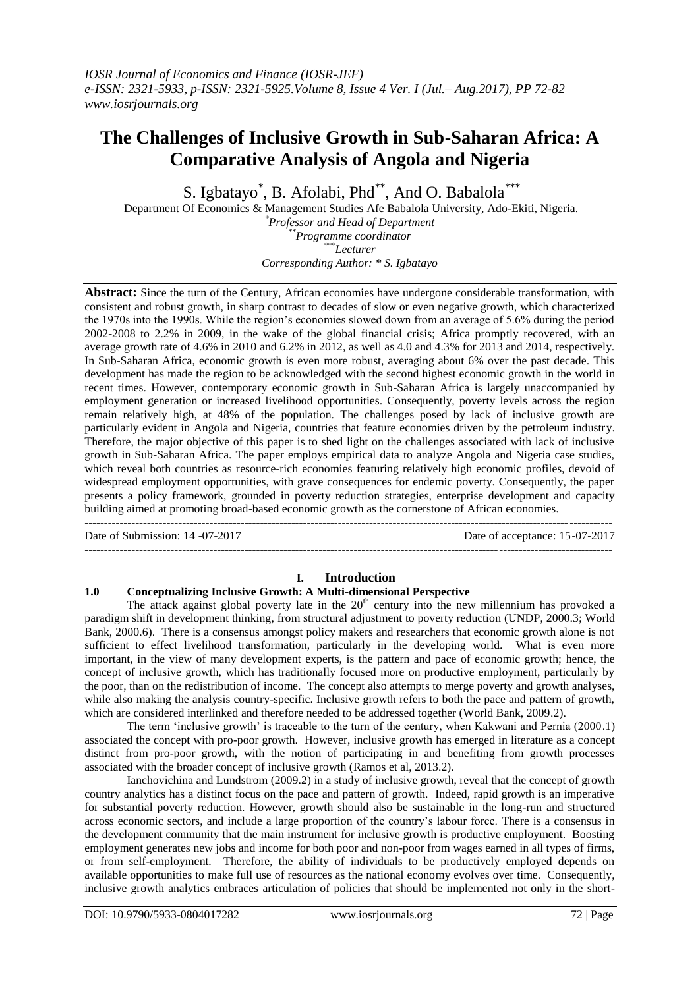# **The Challenges of Inclusive Growth in Sub-Saharan Africa: A Comparative Analysis of Angola and Nigeria**

S. Igbatayo\*, B. Afolabi, Phd\*\*, And O. Babalola\*\*\*

Department Of Economics & Management Studies Afe Babalola University, Ado-Ekiti, Nigeria. *\*Professor and Head of Department \*\*Programme coordinator*

*\*\*\*Lecturer*

*Corresponding Author: \* S. Igbatayo*

**Abstract:** Since the turn of the Century, African economies have undergone considerable transformation, with consistent and robust growth, in sharp contrast to decades of slow or even negative growth, which characterized the 1970s into the 1990s. While the region's economies slowed down from an average of 5.6% during the period 2002-2008 to 2.2% in 2009, in the wake of the global financial crisis; Africa promptly recovered, with an average growth rate of 4.6% in 2010 and 6.2% in 2012, as well as 4.0 and 4.3% for 2013 and 2014, respectively. In Sub-Saharan Africa, economic growth is even more robust, averaging about 6% over the past decade. This development has made the region to be acknowledged with the second highest economic growth in the world in recent times. However, contemporary economic growth in Sub-Saharan Africa is largely unaccompanied by employment generation or increased livelihood opportunities. Consequently, poverty levels across the region remain relatively high, at 48% of the population. The challenges posed by lack of inclusive growth are particularly evident in Angola and Nigeria, countries that feature economies driven by the petroleum industry. Therefore, the major objective of this paper is to shed light on the challenges associated with lack of inclusive growth in Sub-Saharan Africa. The paper employs empirical data to analyze Angola and Nigeria case studies, which reveal both countries as resource-rich economies featuring relatively high economic profiles, devoid of widespread employment opportunities, with grave consequences for endemic poverty. Consequently, the paper presents a policy framework, grounded in poverty reduction strategies, enterprise development and capacity building aimed at promoting broad-based economic growth as the cornerstone of African economies. ---------------------------------------------------------------------------------------------------------------------------------------

Date of Submission: 14 -07-2017 Date of acceptance: 15-07-2017

# **I. Introduction**

---------------------------------------------------------------------------------------------------------------------------------------

# **1.0 Conceptualizing Inclusive Growth: A Multi-dimensional Perspective**

The attack against global poverty late in the 20<sup>th</sup> century into the new millennium has provoked a paradigm shift in development thinking, from structural adjustment to poverty reduction (UNDP, 2000.3; World Bank, 2000.6). There is a consensus amongst policy makers and researchers that economic growth alone is not sufficient to effect livelihood transformation, particularly in the developing world. What is even more important, in the view of many development experts, is the pattern and pace of economic growth; hence, the concept of inclusive growth, which has traditionally focused more on productive employment, particularly by the poor, than on the redistribution of income. The concept also attempts to merge poverty and growth analyses, while also making the analysis country-specific. Inclusive growth refers to both the pace and pattern of growth, which are considered interlinked and therefore needed to be addressed together (World Bank, 2009.2).

The term 'inclusive growth' is traceable to the turn of the century, when Kakwani and Pernia (2000.1) associated the concept with pro-poor growth. However, inclusive growth has emerged in literature as a concept distinct from pro-poor growth, with the notion of participating in and benefiting from growth processes associated with the broader concept of inclusive growth (Ramos et al, 2013.2).

Ianchovichina and Lundstrom (2009.2) in a study of inclusive growth, reveal that the concept of growth country analytics has a distinct focus on the pace and pattern of growth. Indeed, rapid growth is an imperative for substantial poverty reduction. However, growth should also be sustainable in the long-run and structured across economic sectors, and include a large proportion of the country's labour force. There is a consensus in the development community that the main instrument for inclusive growth is productive employment. Boosting employment generates new jobs and income for both poor and non-poor from wages earned in all types of firms, or from self-employment. Therefore, the ability of individuals to be productively employed depends on available opportunities to make full use of resources as the national economy evolves over time. Consequently, inclusive growth analytics embraces articulation of policies that should be implemented not only in the short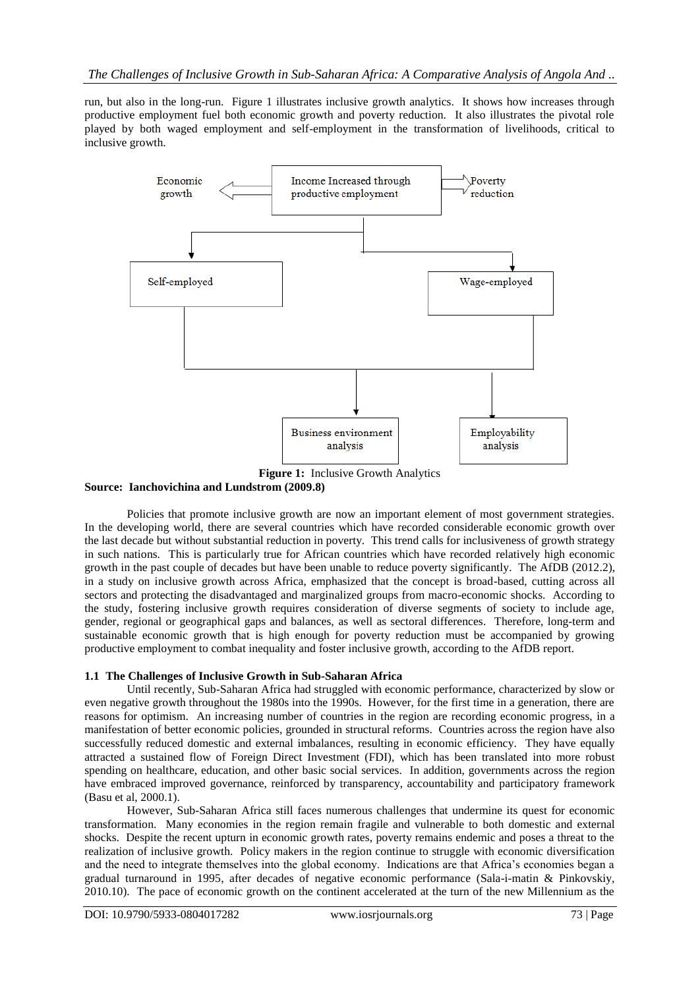run, but also in the long-run. Figure 1 illustrates inclusive growth analytics. It shows how increases through productive employment fuel both economic growth and poverty reduction. It also illustrates the pivotal role played by both waged employment and self-employment in the transformation of livelihoods, critical to inclusive growth.



**Source: Ianchovichina and Lundstrom (2009.8)**

Policies that promote inclusive growth are now an important element of most government strategies. In the developing world, there are several countries which have recorded considerable economic growth over the last decade but without substantial reduction in poverty. This trend calls for inclusiveness of growth strategy in such nations. This is particularly true for African countries which have recorded relatively high economic growth in the past couple of decades but have been unable to reduce poverty significantly. The AfDB (2012.2), in a study on inclusive growth across Africa, emphasized that the concept is broad-based, cutting across all sectors and protecting the disadvantaged and marginalized groups from macro-economic shocks. According to the study, fostering inclusive growth requires consideration of diverse segments of society to include age, gender, regional or geographical gaps and balances, as well as sectoral differences. Therefore, long-term and sustainable economic growth that is high enough for poverty reduction must be accompanied by growing productive employment to combat inequality and foster inclusive growth, according to the AfDB report.

# **1.1 The Challenges of Inclusive Growth in Sub-Saharan Africa**

Until recently, Sub-Saharan Africa had struggled with economic performance, characterized by slow or even negative growth throughout the 1980s into the 1990s. However, for the first time in a generation, there are reasons for optimism. An increasing number of countries in the region are recording economic progress, in a manifestation of better economic policies, grounded in structural reforms. Countries across the region have also successfully reduced domestic and external imbalances, resulting in economic efficiency. They have equally attracted a sustained flow of Foreign Direct Investment (FDI), which has been translated into more robust spending on healthcare, education, and other basic social services. In addition, governments across the region have embraced improved governance, reinforced by transparency, accountability and participatory framework (Basu et al, 2000.1).

However, Sub-Saharan Africa still faces numerous challenges that undermine its quest for economic transformation. Many economies in the region remain fragile and vulnerable to both domestic and external shocks. Despite the recent upturn in economic growth rates, poverty remains endemic and poses a threat to the realization of inclusive growth. Policy makers in the region continue to struggle with economic diversification and the need to integrate themselves into the global economy. Indications are that Africa's economies began a gradual turnaround in 1995, after decades of negative economic performance (Sala-i-matin & Pinkovskiy, 2010.10). The pace of economic growth on the continent accelerated at the turn of the new Millennium as the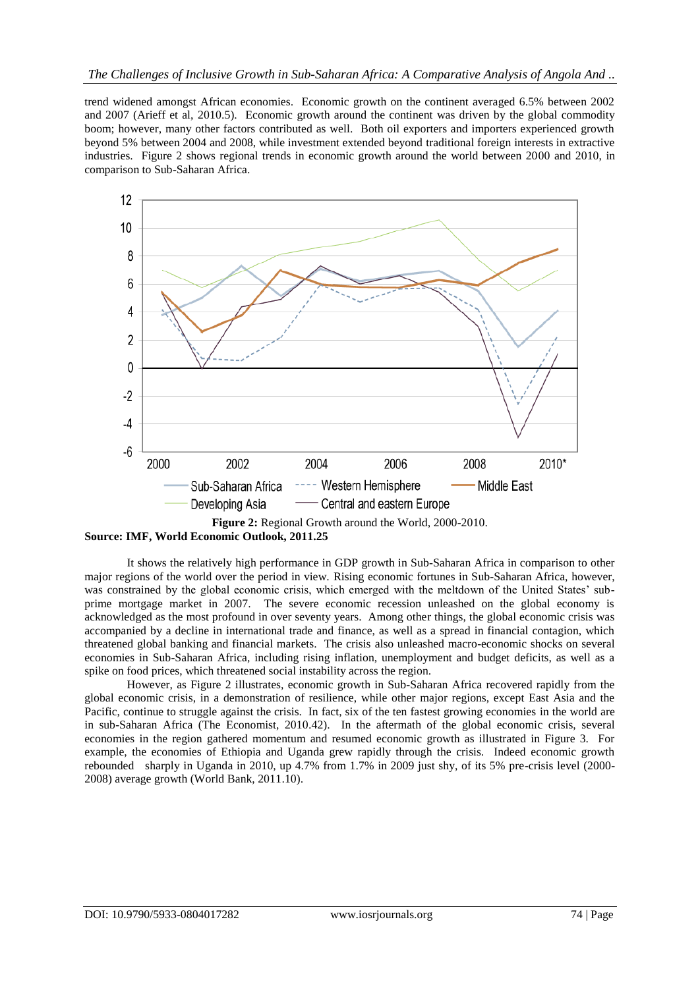trend widened amongst African economies. Economic growth on the continent averaged 6.5% between 2002 and 2007 (Arieff et al, 2010.5). Economic growth around the continent was driven by the global commodity boom; however, many other factors contributed as well. Both oil exporters and importers experienced growth beyond 5% between 2004 and 2008, while investment extended beyond traditional foreign interests in extractive industries. Figure 2 shows regional trends in economic growth around the world between 2000 and 2010, in comparison to Sub-Saharan Africa.



**Source: IMF, World Economic Outlook, 2011.25**

It shows the relatively high performance in GDP growth in Sub-Saharan Africa in comparison to other major regions of the world over the period in view. Rising economic fortunes in Sub-Saharan Africa, however, was constrained by the global economic crisis, which emerged with the meltdown of the United States' subprime mortgage market in 2007. The severe economic recession unleashed on the global economy is acknowledged as the most profound in over seventy years. Among other things, the global economic crisis was accompanied by a decline in international trade and finance, as well as a spread in financial contagion, which threatened global banking and financial markets. The crisis also unleashed macro-economic shocks on several economies in Sub-Saharan Africa, including rising inflation, unemployment and budget deficits, as well as a spike on food prices, which threatened social instability across the region.

However, as Figure 2 illustrates, economic growth in Sub-Saharan Africa recovered rapidly from the global economic crisis, in a demonstration of resilience, while other major regions, except East Asia and the Pacific, continue to struggle against the crisis. In fact, six of the ten fastest growing economies in the world are in sub-Saharan Africa (The Economist, 2010.42). In the aftermath of the global economic crisis, several economies in the region gathered momentum and resumed economic growth as illustrated in Figure 3. For example, the economies of Ethiopia and Uganda grew rapidly through the crisis. Indeed economic growth rebounded sharply in Uganda in 2010, up 4.7% from 1.7% in 2009 just shy, of its 5% pre-crisis level (2000- 2008) average growth (World Bank, 2011.10).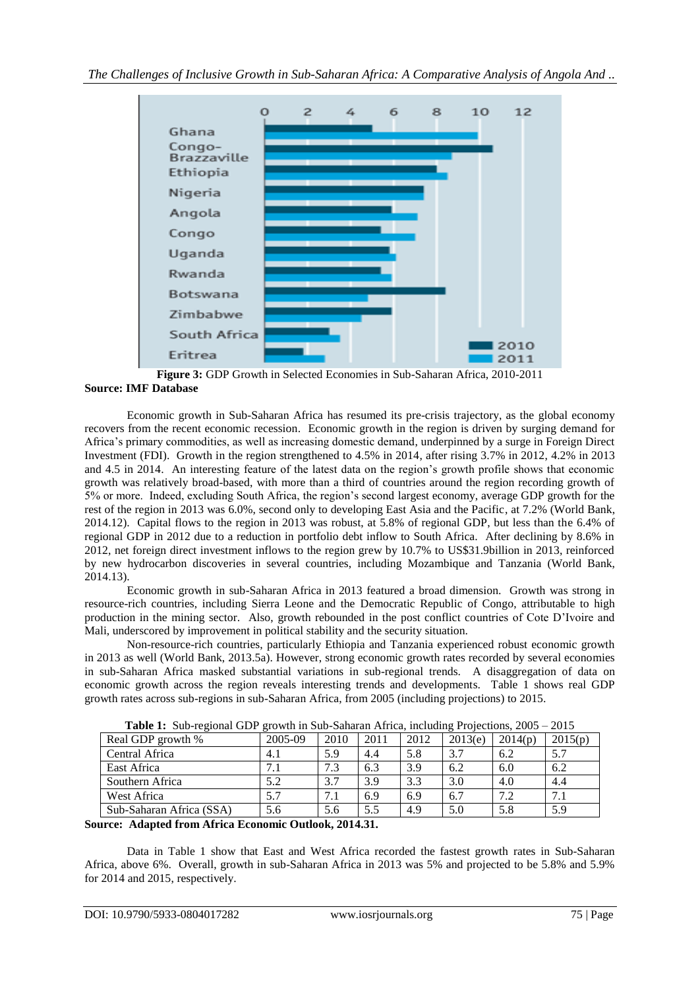

**Figure 3:** GDP Growth in Selected Economies in Sub-Saharan Africa, 2010-2011 **Source: IMF Database**

Economic growth in Sub-Saharan Africa has resumed its pre-crisis trajectory, as the global economy recovers from the recent economic recession. Economic growth in the region is driven by surging demand for Africa's primary commodities, as well as increasing domestic demand, underpinned by a surge in Foreign Direct Investment (FDI). Growth in the region strengthened to 4.5% in 2014, after rising 3.7% in 2012, 4.2% in 2013 and 4.5 in 2014. An interesting feature of the latest data on the region's growth profile shows that economic growth was relatively broad-based, with more than a third of countries around the region recording growth of 5% or more. Indeed, excluding South Africa, the region's second largest economy, average GDP growth for the rest of the region in 2013 was 6.0%, second only to developing East Asia and the Pacific, at 7.2% (World Bank, 2014.12). Capital flows to the region in 2013 was robust, at 5.8% of regional GDP, but less than the 6.4% of regional GDP in 2012 due to a reduction in portfolio debt inflow to South Africa. After declining by 8.6% in 2012, net foreign direct investment inflows to the region grew by 10.7% to US\$31.9billion in 2013, reinforced by new hydrocarbon discoveries in several countries, including Mozambique and Tanzania (World Bank, 2014.13).

Economic growth in sub-Saharan Africa in 2013 featured a broad dimension. Growth was strong in resource-rich countries, including Sierra Leone and the Democratic Republic of Congo, attributable to high production in the mining sector. Also, growth rebounded in the post conflict countries of Cote D'Ivoire and Mali, underscored by improvement in political stability and the security situation.

Non-resource-rich countries, particularly Ethiopia and Tanzania experienced robust economic growth in 2013 as well (World Bank, 2013.5a). However, strong economic growth rates recorded by several economies in sub-Saharan Africa masked substantial variations in sub-regional trends. A disaggregation of data on economic growth across the region reveals interesting trends and developments. Table 1 shows real GDP growth rates across sub-regions in sub-Saharan Africa, from 2005 (including projections) to 2015.

| <b>Table 1:</b> Sub-regional GDP growth in Sub-Saharan Africa, including Projections, 2005 – 2015 |         |      |      |      |         |         |         |  |
|---------------------------------------------------------------------------------------------------|---------|------|------|------|---------|---------|---------|--|
| Real GDP growth %                                                                                 | 2005-09 | 2010 | 2011 | 2012 | 2013(e) | 2014(p) | 2015(p) |  |
| Central Africa                                                                                    | 4.1     | 5.9  | 4.4  | 5.8  | 3.7     | 6.2     | 5.7     |  |
| East Africa                                                                                       | 7.1     | 7.3  | 6.3  | 3.9  | 6.2     | 6.0     | 6.2     |  |
| Southern Africa                                                                                   | 5.2     | 3.7  | 3.9  | 3.3  | 3.0     | 4.0     | 4.4     |  |
| West Africa                                                                                       | 5.7     | 7.1  | 6.9  | 6.9  | 6.7     | 7.2     | 7.1     |  |
| Sub-Saharan Africa (SSA)                                                                          | 5.6     | 5.6  | 5.5  | 4.9  | 5.0     | 5.8     | 5.9     |  |

**Table 1:** Sub-regional GDP growth in Sub-Saharan Africa, including Projections, 2005 – 2015

# **Source: Adapted from Africa Economic Outlook, 2014.31.**

Data in Table 1 show that East and West Africa recorded the fastest growth rates in Sub-Saharan Africa, above 6%. Overall, growth in sub-Saharan Africa in 2013 was 5% and projected to be 5.8% and 5.9% for 2014 and 2015, respectively.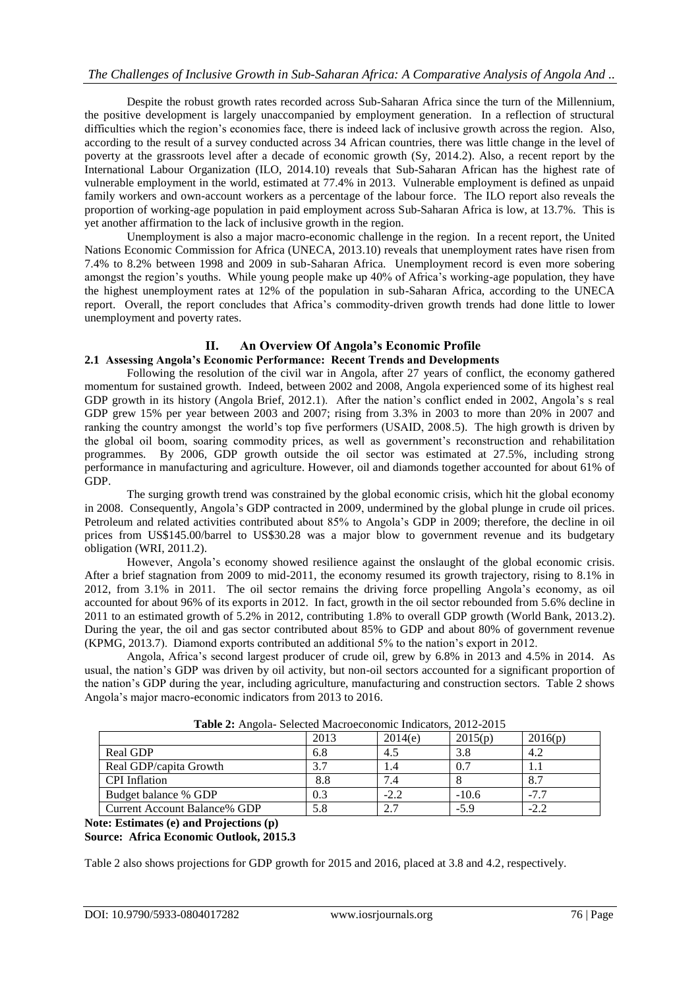Despite the robust growth rates recorded across Sub-Saharan Africa since the turn of the Millennium, the positive development is largely unaccompanied by employment generation. In a reflection of structural difficulties which the region's economies face, there is indeed lack of inclusive growth across the region. Also, according to the result of a survey conducted across 34 African countries, there was little change in the level of poverty at the grassroots level after a decade of economic growth (Sy, 2014.2). Also, a recent report by the International Labour Organization (ILO, 2014.10) reveals that Sub-Saharan African has the highest rate of vulnerable employment in the world, estimated at 77.4% in 2013. Vulnerable employment is defined as unpaid family workers and own-account workers as a percentage of the labour force. The ILO report also reveals the proportion of working-age population in paid employment across Sub-Saharan Africa is low, at 13.7%. This is yet another affirmation to the lack of inclusive growth in the region.

Unemployment is also a major macro-economic challenge in the region. In a recent report, the United Nations Economic Commission for Africa (UNECA, 2013.10) reveals that unemployment rates have risen from 7.4% to 8.2% between 1998 and 2009 in sub-Saharan Africa. Unemployment record is even more sobering amongst the region's youths. While young people make up 40% of Africa's working-age population, they have the highest unemployment rates at 12% of the population in sub-Saharan Africa, according to the UNECA report. Overall, the report concludes that Africa's commodity-driven growth trends had done little to lower unemployment and poverty rates.

# **II. An Overview Of Angola's Economic Profile**

# **2.1 Assessing Angola's Economic Performance: Recent Trends and Developments**

Following the resolution of the civil war in Angola, after 27 years of conflict, the economy gathered momentum for sustained growth. Indeed, between 2002 and 2008, Angola experienced some of its highest real GDP growth in its history (Angola Brief, 2012.1). After the nation's conflict ended in 2002, Angola's s real GDP grew 15% per year between 2003 and 2007; rising from 3.3% in 2003 to more than 20% in 2007 and ranking the country amongst the world's top five performers (USAID, 2008.5). The high growth is driven by the global oil boom, soaring commodity prices, as well as government's reconstruction and rehabilitation programmes. By 2006, GDP growth outside the oil sector was estimated at 27.5%, including strong performance in manufacturing and agriculture. However, oil and diamonds together accounted for about 61% of GDP.

The surging growth trend was constrained by the global economic crisis, which hit the global economy in 2008. Consequently, Angola's GDP contracted in 2009, undermined by the global plunge in crude oil prices. Petroleum and related activities contributed about 85% to Angola's GDP in 2009; therefore, the decline in oil prices from US\$145.00/barrel to US\$30.28 was a major blow to government revenue and its budgetary obligation (WRI, 2011.2).

However, Angola's economy showed resilience against the onslaught of the global economic crisis. After a brief stagnation from 2009 to mid-2011, the economy resumed its growth trajectory, rising to 8.1% in 2012, from 3.1% in 2011. The oil sector remains the driving force propelling Angola's economy, as oil accounted for about 96% of its exports in 2012. In fact, growth in the oil sector rebounded from 5.6% decline in 2011 to an estimated growth of 5.2% in 2012, contributing 1.8% to overall GDP growth (World Bank, 2013.2). During the year, the oil and gas sector contributed about 85% to GDP and about 80% of government revenue (KPMG, 2013.7). Diamond exports contributed an additional 5% to the nation's export in 2012.

Angola, Africa's second largest producer of crude oil, grew by 6.8% in 2013 and 4.5% in 2014. As usual, the nation's GDP was driven by oil activity, but non-oil sectors accounted for a significant proportion of the nation's GDP during the year, including agriculture, manufacturing and construction sectors. Table 2 shows Angola's major macro-economic indicators from 2013 to 2016.

| <b>Tuble 2.</b> This one beloced macroeconomic mateutols, 2012 2013 |      |         |         |         |  |  |  |
|---------------------------------------------------------------------|------|---------|---------|---------|--|--|--|
|                                                                     | 2013 | 2014(e) | 2015(p) | 2016(p) |  |  |  |
| Real GDP                                                            | 6.8  | 4.5     | 3.8     | 4.2     |  |  |  |
| Real GDP/capita Growth                                              | 3.7  | 1.4     | 0.7     |         |  |  |  |
| <b>CPI</b> Inflation                                                | 8.8  |         |         | 8.7     |  |  |  |
| Budget balance % GDP                                                | 0.3  | $-2.2$  | $-10.6$ |         |  |  |  |
| Current Account Balance% GDP                                        | 5.8  | 2.7     | $-5.9$  | $-2.2$  |  |  |  |
|                                                                     |      |         |         |         |  |  |  |

**Table 2:** Angola- Selected Macroeconomic Indicators, 2012-2015

**Note: Estimates (e) and Projections (p)**

## **Source: Africa Economic Outlook, 2015.3**

Table 2 also shows projections for GDP growth for 2015 and 2016, placed at 3.8 and 4.2, respectively.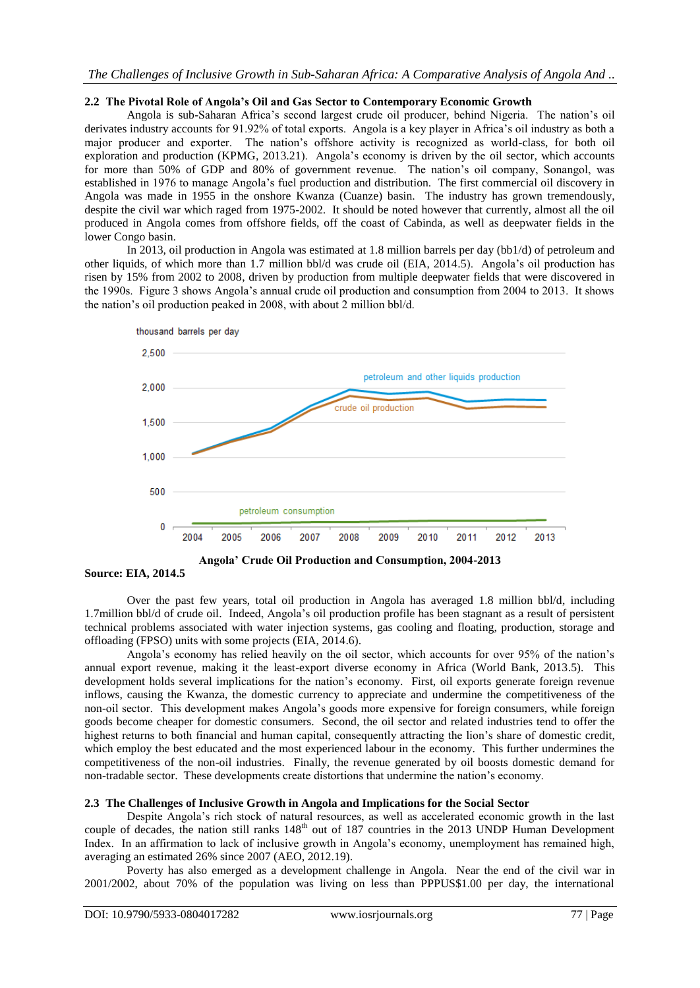## **2.2 The Pivotal Role of Angola's Oil and Gas Sector to Contemporary Economic Growth**

Angola is sub-Saharan Africa's second largest crude oil producer, behind Nigeria. The nation's oil derivates industry accounts for 91.92% of total exports. Angola is a key player in Africa's oil industry as both a major producer and exporter. The nation's offshore activity is recognized as world-class, for both oil exploration and production (KPMG, 2013.21). Angola's economy is driven by the oil sector, which accounts for more than 50% of GDP and 80% of government revenue. The nation's oil company, Sonangol, was established in 1976 to manage Angola's fuel production and distribution. The first commercial oil discovery in Angola was made in 1955 in the onshore Kwanza (Cuanze) basin. The industry has grown tremendously, despite the civil war which raged from 1975-2002. It should be noted however that currently, almost all the oil produced in Angola comes from offshore fields, off the coast of Cabinda, as well as deepwater fields in the lower Congo basin.

In 2013, oil production in Angola was estimated at 1.8 million barrels per day (bb1/d) of petroleum and other liquids, of which more than 1.7 million bbl/d was crude oil (EIA, 2014.5). Angola's oil production has risen by 15% from 2002 to 2008, driven by production from multiple deepwater fields that were discovered in the 1990s. Figure 3 shows Angola's annual crude oil production and consumption from 2004 to 2013. It shows the nation's oil production peaked in 2008, with about 2 million bbl/d.



**Angola' Crude Oil Production and Consumption, 2004-2013**

**Source: EIA, 2014.5**

Over the past few years, total oil production in Angola has averaged 1.8 million bbl/d, including 1.7million bbl/d of crude oil. Indeed, Angola's oil production profile has been stagnant as a result of persistent technical problems associated with water injection systems, gas cooling and floating, production, storage and offloading (FPSO) units with some projects (EIA, 2014.6).

Angola's economy has relied heavily on the oil sector, which accounts for over 95% of the nation's annual export revenue, making it the least-export diverse economy in Africa (World Bank, 2013.5). This development holds several implications for the nation's economy. First, oil exports generate foreign revenue inflows, causing the Kwanza, the domestic currency to appreciate and undermine the competitiveness of the non-oil sector. This development makes Angola's goods more expensive for foreign consumers, while foreign goods become cheaper for domestic consumers. Second, the oil sector and related industries tend to offer the highest returns to both financial and human capital, consequently attracting the lion's share of domestic credit, which employ the best educated and the most experienced labour in the economy. This further undermines the competitiveness of the non-oil industries. Finally, the revenue generated by oil boosts domestic demand for non-tradable sector. These developments create distortions that undermine the nation's economy.

## **2.3 The Challenges of Inclusive Growth in Angola and Implications for the Social Sector**

Despite Angola's rich stock of natural resources, as well as accelerated economic growth in the last couple of decades, the nation still ranks 148<sup>th</sup> out of 187 countries in the 2013 UNDP Human Development Index. In an affirmation to lack of inclusive growth in Angola's economy, unemployment has remained high, averaging an estimated 26% since 2007 (AEO, 2012.19).

Poverty has also emerged as a development challenge in Angola. Near the end of the civil war in 2001/2002, about 70% of the population was living on less than PPPUS\$1.00 per day, the international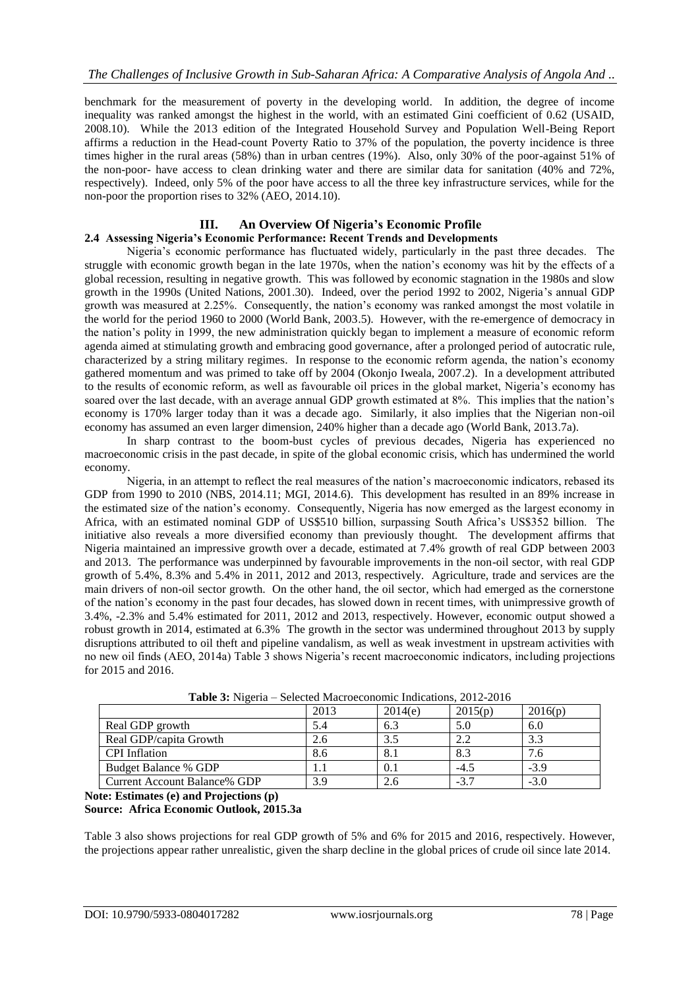benchmark for the measurement of poverty in the developing world. In addition, the degree of income inequality was ranked amongst the highest in the world, with an estimated Gini coefficient of 0.62 (USAID, 2008.10). While the 2013 edition of the Integrated Household Survey and Population Well-Being Report affirms a reduction in the Head-count Poverty Ratio to 37% of the population, the poverty incidence is three times higher in the rural areas (58%) than in urban centres (19%). Also, only 30% of the poor-against 51% of the non-poor- have access to clean drinking water and there are similar data for sanitation (40% and 72%, respectively). Indeed, only 5% of the poor have access to all the three key infrastructure services, while for the non-poor the proportion rises to 32% (AEO, 2014.10).

#### **III. An Overview Of Nigeria's Economic Profile 2.4 Assessing Nigeria's Economic Performance: Recent Trends and Developments**

Nigeria's economic performance has fluctuated widely, particularly in the past three decades. The struggle with economic growth began in the late 1970s, when the nation's economy was hit by the effects of a global recession, resulting in negative growth. This was followed by economic stagnation in the 1980s and slow growth in the 1990s (United Nations, 2001.30). Indeed, over the period 1992 to 2002, Nigeria's annual GDP growth was measured at 2.25%. Consequently, the nation's economy was ranked amongst the most volatile in the world for the period 1960 to 2000 (World Bank, 2003.5). However, with the re-emergence of democracy in the nation's polity in 1999, the new administration quickly began to implement a measure of economic reform agenda aimed at stimulating growth and embracing good governance, after a prolonged period of autocratic rule, characterized by a string military regimes. In response to the economic reform agenda, the nation's economy gathered momentum and was primed to take off by 2004 (Okonjo Iweala, 2007.2). In a development attributed to the results of economic reform, as well as favourable oil prices in the global market, Nigeria's economy has soared over the last decade, with an average annual GDP growth estimated at 8%. This implies that the nation's economy is 170% larger today than it was a decade ago. Similarly, it also implies that the Nigerian non-oil economy has assumed an even larger dimension, 240% higher than a decade ago (World Bank, 2013.7a).

In sharp contrast to the boom-bust cycles of previous decades, Nigeria has experienced no macroeconomic crisis in the past decade, in spite of the global economic crisis, which has undermined the world economy.

Nigeria, in an attempt to reflect the real measures of the nation's macroeconomic indicators, rebased its GDP from 1990 to 2010 (NBS, 2014.11; MGI, 2014.6). This development has resulted in an 89% increase in the estimated size of the nation's economy. Consequently, Nigeria has now emerged as the largest economy in Africa, with an estimated nominal GDP of US\$510 billion, surpassing South Africa's US\$352 billion. The initiative also reveals a more diversified economy than previously thought. The development affirms that Nigeria maintained an impressive growth over a decade, estimated at 7.4% growth of real GDP between 2003 and 2013. The performance was underpinned by favourable improvements in the non-oil sector, with real GDP growth of 5.4%, 8.3% and 5.4% in 2011, 2012 and 2013, respectively. Agriculture, trade and services are the main drivers of non-oil sector growth. On the other hand, the oil sector, which had emerged as the cornerstone of the nation's economy in the past four decades, has slowed down in recent times, with unimpressive growth of 3.4%, -2.3% and 5.4% estimated for 2011, 2012 and 2013, respectively. However, economic output showed a robust growth in 2014, estimated at 6.3% The growth in the sector was undermined throughout 2013 by supply disruptions attributed to oil theft and pipeline vandalism, as well as weak investment in upstream activities with no new oil finds (AEO, 2014a) Table 3 shows Nigeria's recent macroeconomic indicators, including projections for 2015 and 2016.

|                              | 2013 | 2014(e) | 2015(p) | 2016(p)   |  |  |  |
|------------------------------|------|---------|---------|-----------|--|--|--|
| Real GDP growth              | 5.4  | 6.3     | 5.C     | 6.0       |  |  |  |
| Real GDP/capita Growth       | 2.6  |         | 2.2     | 3.3       |  |  |  |
| <b>CPI</b> Inflation         | 8.6  | 8.1     | 8.3     | $\cdot$ 0 |  |  |  |
| Budget Balance % GDP         |      | 0.1     | $-4.5$  | $-3.9$    |  |  |  |
| Current Account Balance% GDP | 3.9  |         | $-3.7$  | $-3.0$    |  |  |  |

**Table 3:** Nigeria – Selected Macroeconomic Indications, 2012-2016

**Note: Estimates (e) and Projections (p)**

# **Source: Africa Economic Outlook, 2015.3a**

Table 3 also shows projections for real GDP growth of 5% and 6% for 2015 and 2016, respectively. However, the projections appear rather unrealistic, given the sharp decline in the global prices of crude oil since late 2014.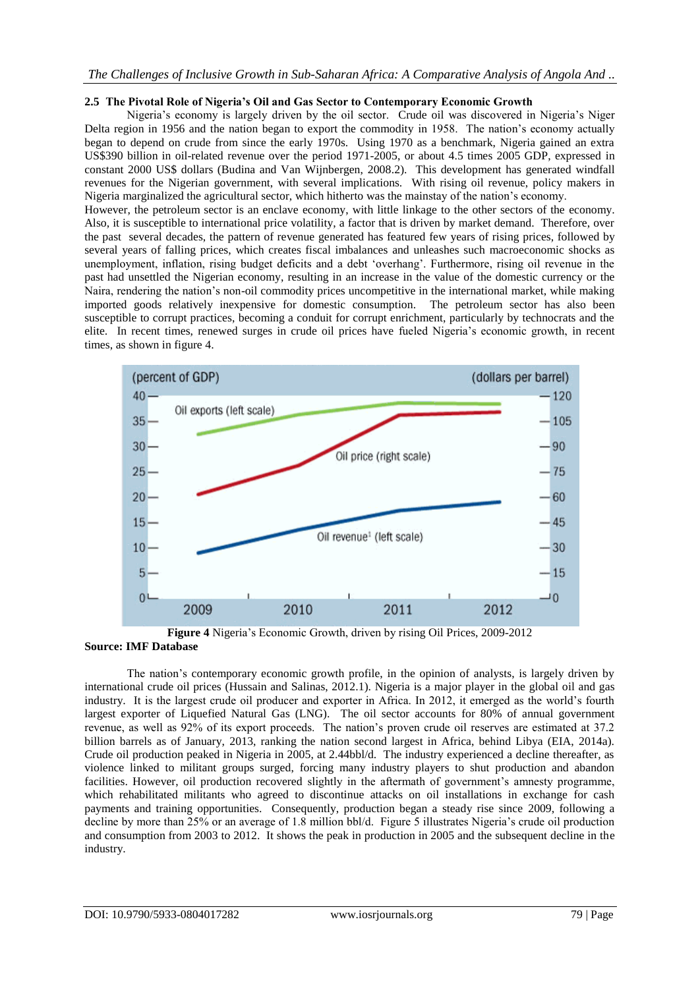# *The Challenges of Inclusive Growth in Sub-Saharan Africa: A Comparative Analysis of Angola And ..*

## **2.5 The Pivotal Role of Nigeria's Oil and Gas Sector to Contemporary Economic Growth**

Nigeria's economy is largely driven by the oil sector. Crude oil was discovered in Nigeria's Niger Delta region in 1956 and the nation began to export the commodity in 1958. The nation's economy actually began to depend on crude from since the early 1970s. Using 1970 as a benchmark, Nigeria gained an extra US\$390 billion in oil-related revenue over the period 1971-2005, or about 4.5 times 2005 GDP, expressed in constant 2000 US\$ dollars (Budina and Van Wijnbergen, 2008.2). This development has generated windfall revenues for the Nigerian government, with several implications. With rising oil revenue, policy makers in Nigeria marginalized the agricultural sector, which hitherto was the mainstay of the nation's economy.

However, the petroleum sector is an enclave economy, with little linkage to the other sectors of the economy. Also, it is susceptible to international price volatility, a factor that is driven by market demand. Therefore, over the past several decades, the pattern of revenue generated has featured few years of rising prices, followed by several years of falling prices, which creates fiscal imbalances and unleashes such macroeconomic shocks as unemployment, inflation, rising budget deficits and a debt 'overhang'. Furthermore, rising oil revenue in the past had unsettled the Nigerian economy, resulting in an increase in the value of the domestic currency or the Naira, rendering the nation's non-oil commodity prices uncompetitive in the international market, while making imported goods relatively inexpensive for domestic consumption. The petroleum sector has also been susceptible to corrupt practices, becoming a conduit for corrupt enrichment, particularly by technocrats and the elite. In recent times, renewed surges in crude oil prices have fueled Nigeria's economic growth, in recent times, as shown in figure 4.



**Figure 4** Nigeria's Economic Growth, driven by rising Oil Prices, 2009-2012 **Source: IMF Database**

The nation's contemporary economic growth profile, in the opinion of analysts, is largely driven by international crude oil prices (Hussain and Salinas, 2012.1). Nigeria is a major player in the global oil and gas industry. It is the largest crude oil producer and exporter in Africa. In 2012, it emerged as the world's fourth largest exporter of Liquefied Natural Gas (LNG). The oil sector accounts for 80% of annual government revenue, as well as 92% of its export proceeds. The nation's proven crude oil reserves are estimated at 37.2 billion barrels as of January, 2013, ranking the nation second largest in Africa, behind Libya (EIA, 2014a). Crude oil production peaked in Nigeria in 2005, at 2.44bbl/d. The industry experienced a decline thereafter, as violence linked to militant groups surged, forcing many industry players to shut production and abandon facilities. However, oil production recovered slightly in the aftermath of government's amnesty programme, which rehabilitated militants who agreed to discontinue attacks on oil installations in exchange for cash payments and training opportunities. Consequently, production began a steady rise since 2009, following a decline by more than 25% or an average of 1.8 million bbl/d. Figure 5 illustrates Nigeria's crude oil production and consumption from 2003 to 2012. It shows the peak in production in 2005 and the subsequent decline in the industry.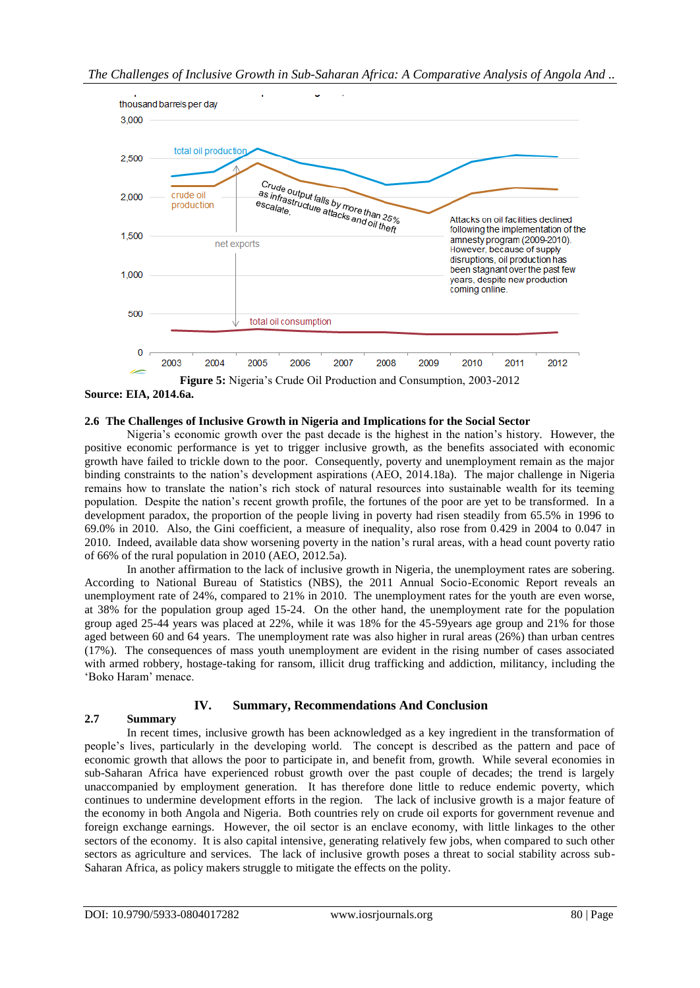

**Source: EIA, 2014.6a.**

## **2.6 The Challenges of Inclusive Growth in Nigeria and Implications for the Social Sector**

Nigeria's economic growth over the past decade is the highest in the nation's history. However, the positive economic performance is yet to trigger inclusive growth, as the benefits associated with economic growth have failed to trickle down to the poor. Consequently, poverty and unemployment remain as the major binding constraints to the nation's development aspirations (AEO, 2014.18a). The major challenge in Nigeria remains how to translate the nation's rich stock of natural resources into sustainable wealth for its teeming population. Despite the nation's recent growth profile, the fortunes of the poor are yet to be transformed. In a development paradox, the proportion of the people living in poverty had risen steadily from 65.5% in 1996 to 69.0% in 2010. Also, the Gini coefficient, a measure of inequality, also rose from 0.429 in 2004 to 0.047 in 2010. Indeed, available data show worsening poverty in the nation's rural areas, with a head count poverty ratio of 66% of the rural population in 2010 (AEO, 2012.5a).

In another affirmation to the lack of inclusive growth in Nigeria, the unemployment rates are sobering. According to National Bureau of Statistics (NBS), the 2011 Annual Socio-Economic Report reveals an unemployment rate of 24%, compared to 21% in 2010. The unemployment rates for the youth are even worse, at 38% for the population group aged 15-24. On the other hand, the unemployment rate for the population group aged 25-44 years was placed at 22%, while it was 18% for the 45-59years age group and 21% for those aged between 60 and 64 years. The unemployment rate was also higher in rural areas (26%) than urban centres (17%). The consequences of mass youth unemployment are evident in the rising number of cases associated with armed robbery, hostage-taking for ransom, illicit drug trafficking and addiction, militancy, including the 'Boko Haram' menace.

# **IV. Summary, Recommendations And Conclusion**

# **2.7 Summary**

In recent times, inclusive growth has been acknowledged as a key ingredient in the transformation of people's lives, particularly in the developing world. The concept is described as the pattern and pace of economic growth that allows the poor to participate in, and benefit from, growth. While several economies in sub-Saharan Africa have experienced robust growth over the past couple of decades; the trend is largely unaccompanied by employment generation. It has therefore done little to reduce endemic poverty, which continues to undermine development efforts in the region. The lack of inclusive growth is a major feature of the economy in both Angola and Nigeria. Both countries rely on crude oil exports for government revenue and foreign exchange earnings. However, the oil sector is an enclave economy, with little linkages to the other sectors of the economy. It is also capital intensive, generating relatively few jobs, when compared to such other sectors as agriculture and services. The lack of inclusive growth poses a threat to social stability across sub-Saharan Africa, as policy makers struggle to mitigate the effects on the polity.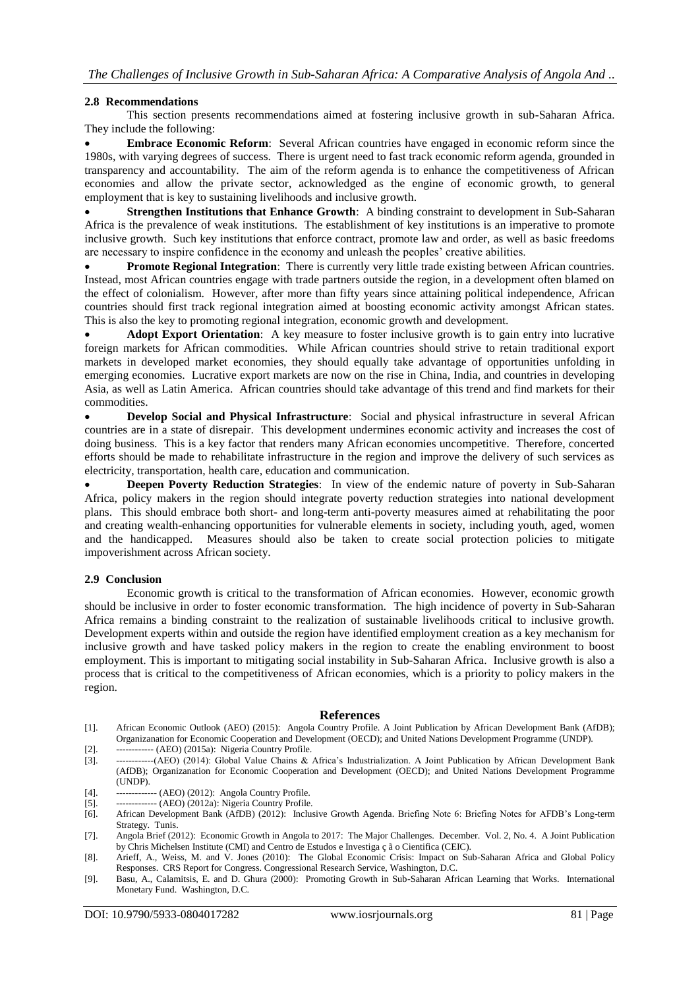## **2.8 Recommendations**

This section presents recommendations aimed at fostering inclusive growth in sub-Saharan Africa. They include the following:

 **Embrace Economic Reform**: Several African countries have engaged in economic reform since the 1980s, with varying degrees of success. There is urgent need to fast track economic reform agenda, grounded in transparency and accountability. The aim of the reform agenda is to enhance the competitiveness of African economies and allow the private sector, acknowledged as the engine of economic growth, to general employment that is key to sustaining livelihoods and inclusive growth.

 **Strengthen Institutions that Enhance Growth**: A binding constraint to development in Sub-Saharan Africa is the prevalence of weak institutions. The establishment of key institutions is an imperative to promote inclusive growth. Such key institutions that enforce contract, promote law and order, as well as basic freedoms are necessary to inspire confidence in the economy and unleash the peoples' creative abilities.

 **Promote Regional Integration**: There is currently very little trade existing between African countries. Instead, most African countries engage with trade partners outside the region, in a development often blamed on the effect of colonialism. However, after more than fifty years since attaining political independence, African countries should first track regional integration aimed at boosting economic activity amongst African states. This is also the key to promoting regional integration, economic growth and development.

 **Adopt Export Orientation**: A key measure to foster inclusive growth is to gain entry into lucrative foreign markets for African commodities. While African countries should strive to retain traditional export markets in developed market economies, they should equally take advantage of opportunities unfolding in emerging economies. Lucrative export markets are now on the rise in China, India, and countries in developing Asia, as well as Latin America. African countries should take advantage of this trend and find markets for their commodities.

 **Develop Social and Physical Infrastructure**: Social and physical infrastructure in several African countries are in a state of disrepair. This development undermines economic activity and increases the cost of doing business. This is a key factor that renders many African economies uncompetitive. Therefore, concerted efforts should be made to rehabilitate infrastructure in the region and improve the delivery of such services as electricity, transportation, health care, education and communication.

 **Deepen Poverty Reduction Strategies**: In view of the endemic nature of poverty in Sub-Saharan Africa, policy makers in the region should integrate poverty reduction strategies into national development plans. This should embrace both short- and long-term anti-poverty measures aimed at rehabilitating the poor and creating wealth-enhancing opportunities for vulnerable elements in society, including youth, aged, women and the handicapped. Measures should also be taken to create social protection policies to mitigate impoverishment across African society.

## **2.9 Conclusion**

Economic growth is critical to the transformation of African economies. However, economic growth should be inclusive in order to foster economic transformation. The high incidence of poverty in Sub-Saharan Africa remains a binding constraint to the realization of sustainable livelihoods critical to inclusive growth. Development experts within and outside the region have identified employment creation as a key mechanism for inclusive growth and have tasked policy makers in the region to create the enabling environment to boost employment. This is important to mitigating social instability in Sub-Saharan Africa. Inclusive growth is also a process that is critical to the competitiveness of African economies, which is a priority to policy makers in the region.

## **References**

[1]. African Economic Outlook (AEO) (2015): Angola Country Profile. A Joint Publication by African Development Bank (AfDB); Organizanation for Economic Cooperation and Development (OECD); and United Nations Development Programme (UNDP).

[2]. ------------ (AEO) (2015a): Nigeria Country Profile.

- [3]. ------------(AEO) (2014): Global Value Chains & Africa's Industrialization. A Joint Publication by African Development Bank (AfDB); Organizanation for Economic Cooperation and Development (OECD); and United Nations Development Programme (UNDP).
- [4]. ------------- (AEO) (2012): Angola Country Profile.
- [5]. ------------- (AEO) (2012a): Nigeria Country Profile.<br>[6]. African Development Bank (AfDB) (2012): Inclu
- [6]. African Development Bank (AfDB) (2012): Inclusive Growth Agenda. Briefing Note 6: Briefing Notes for AFDB's Long-term Strategy. Tunis.
- [7]. Angola Brief (2012): Economic Growth in Angola to 2017: The Major Challenges. December. Vol. 2, No. 4. A Joint Publication by Chris Michelsen Institute (CMI) and Centro de Estudos e Investiga ç ã o Cientifica (CEIC).
- [8]. Arieff, A., Weiss, M. and V. Jones (2010): The Global Economic Crisis: Impact on Sub-Saharan Africa and Global Policy Responses. CRS Report for Congress. Congressional Research Service, Washington, D.C.
- [9]. Basu, A., Calamitsis, E. and D. Ghura (2000): Promoting Growth in Sub-Saharan African Learning that Works. International Monetary Fund. Washington, D.C.